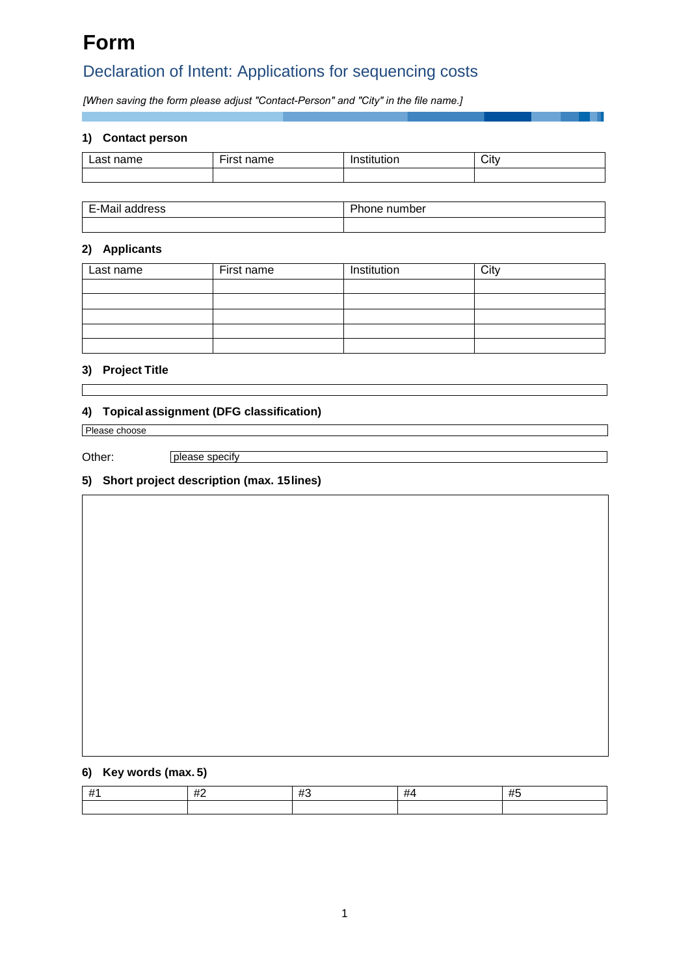# **Form**

# Declaration of Intent: Applications for sequencing costs

*[When saving the form please adjust "Contact-Person" and "City" in the file name.]*

## **1) Contact person**

| ∼me<br>$- -$ | $-$<br>.<br>┅<br>______ | $\sim$<br>. | City<br>$\sim$ |
|--------------|-------------------------|-------------|----------------|
|              |                         |             |                |

| E-Mai<br>dress<br>ян | DL.<br>number<br>one<br>וי - |
|----------------------|------------------------------|
|                      |                              |

# **2) Applicants**

| Last name | First name | Institution | City |
|-----------|------------|-------------|------|
|           |            |             |      |
|           |            |             |      |
|           |            |             |      |
|           |            |             |      |
|           |            |             |      |

### **3) Project Title**

## **4) Topical assignment (DFG classification)**

Other:

Please choose<br>Other: please specify

## **5) Short project description (max. 15lines)**

## **6) Key words (max. 5)**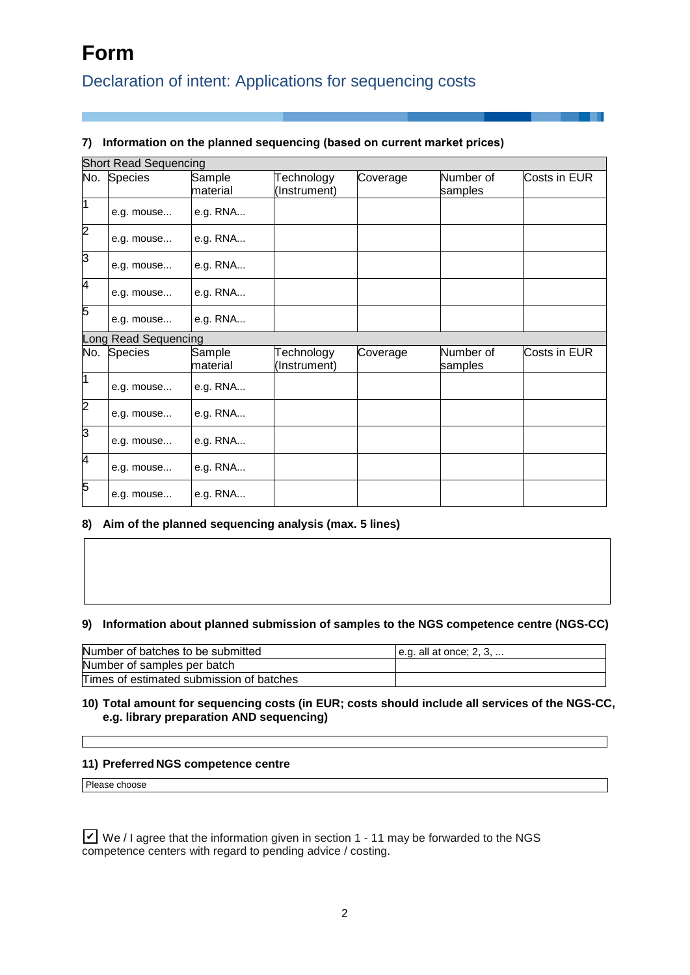# **Form**

# Declaration of intent: Applications for sequencing costs

# **7) Information on the planned sequencing (based on current market prices)**

|                | <b>Short Read Sequencing</b> |                    |                            |          |                      |              |  |
|----------------|------------------------------|--------------------|----------------------------|----------|----------------------|--------------|--|
|                | No. Species                  | Sample<br>material | Technology<br>(Instrument) | Coverage | Number of<br>samples | Costs in EUR |  |
| $\overline{1}$ | e.g. mouse                   | e.g. RNA           |                            |          |                      |              |  |
| $\overline{2}$ | e.g. mouse                   | e.g. RNA           |                            |          |                      |              |  |
| 3              | e.g. mouse                   | e.g. RNA           |                            |          |                      |              |  |
| 4              | e.g. mouse                   | e.g. RNA           |                            |          |                      |              |  |
| 5              | e.g. mouse                   | e.g. RNA           |                            |          |                      |              |  |
|                | Long Read Sequencing         |                    |                            |          |                      |              |  |
| No.            | <b>Species</b>               | Sample<br>material | Technology<br>(Instrument) | Coverage | Number of<br>samples | Costs in EUR |  |
| 1              | e.g. mouse                   | e.g. RNA           |                            |          |                      |              |  |
| $\overline{c}$ | e.g. mouse                   | e.g. RNA           |                            |          |                      |              |  |
| 3              | e.g. mouse                   | e.g. RNA           |                            |          |                      |              |  |
| $\overline{4}$ | e.g. mouse                   | e.g. RNA           |                            |          |                      |              |  |
| 5              | e.g. mouse                   | e.g. RNA           |                            |          |                      |              |  |

## **8) Aim of the planned sequencing analysis (max. 5 lines)**

### **9) Information about planned submission of samples to the NGS competence centre (NGS-CC)**

| Number of batches to be submitted        | $ e.g.$ all at once; 2, 3, |
|------------------------------------------|----------------------------|
| Number of samples per batch              |                            |
| Times of estimated submission of batches |                            |

### **10) Total amount for sequencing costs (in EUR; costs should include all services of the NGS-CC, e.g. library preparation AND sequencing)**

#### **11) Preferred NGS competence centre**

Please choose

 $\angle$  We / I agree that the information given in section 1 - 11 may be forwarded to the NGS competence centers with regard to pending advice / costing.